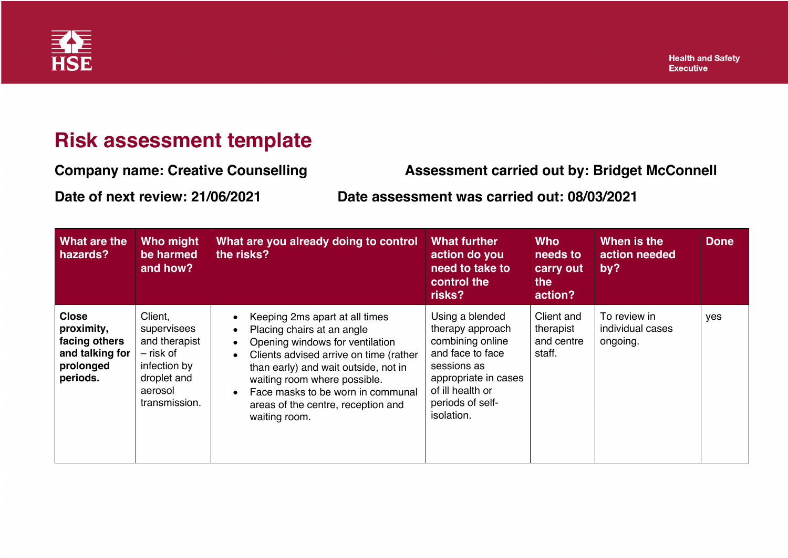

## **Risk assessment template**

**Company name: Creative Counselling Assessment carried out by: Bridget McConnell**

**Date of next review: 21/06/2021 Date assessment was carried out: 08/03/2021**

| <b>What are the</b><br>hazards?                                                         | Who might<br>be harmed<br>and how?                                                                              | What are you already doing to control<br>the risks?                                                                                                                                                                                                                                                                                                               | <b>What further</b><br>action do you<br>need to take to<br>control the<br>risks?                                                                                         | <b>Who</b><br>needs to<br>carry out<br>the<br>action? | When is the<br>action needed<br>by?          | <b>Done</b> |
|-----------------------------------------------------------------------------------------|-----------------------------------------------------------------------------------------------------------------|-------------------------------------------------------------------------------------------------------------------------------------------------------------------------------------------------------------------------------------------------------------------------------------------------------------------------------------------------------------------|--------------------------------------------------------------------------------------------------------------------------------------------------------------------------|-------------------------------------------------------|----------------------------------------------|-------------|
| <b>Close</b><br>proximity,<br>facing others<br>and talking for<br>prolonged<br>periods. | Client,<br>supervisees<br>and therapist<br>- risk of<br>infection by<br>droplet and<br>aerosol<br>transmission. | Keeping 2ms apart at all times<br>Placing chairs at an angle<br>$\bullet$<br>Opening windows for ventilation<br>$\bullet$<br>Clients advised arrive on time (rather<br>$\bullet$<br>than early) and wait outside, not in<br>waiting room where possible.<br>Face masks to be worn in communal<br>$\bullet$<br>areas of the centre, reception and<br>waiting room. | Using a blended<br>therapy approach<br>combining online<br>and face to face<br>sessions as<br>appropriate in cases<br>of ill health or<br>periods of self-<br>isolation. | Client and<br>therapist<br>and centre<br>staff.       | To review in<br>individual cases<br>ongoing. | yes         |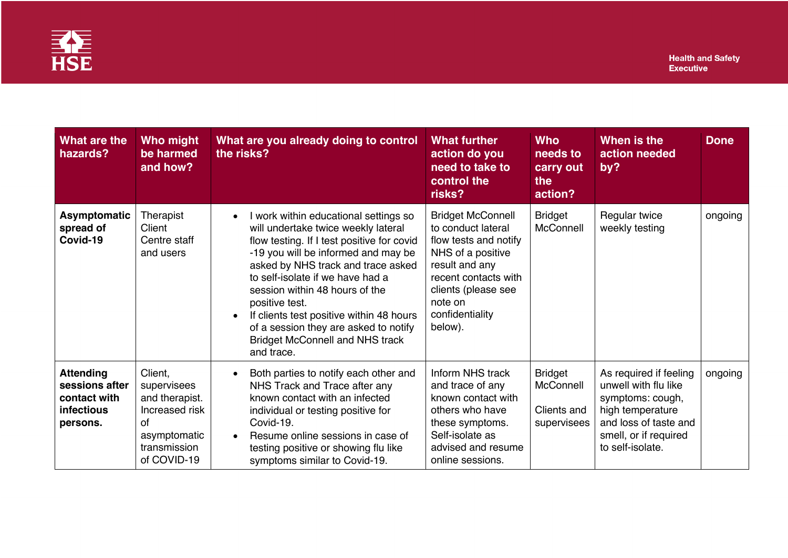

| <b>What are the</b><br>hazards?                                                     | Who might<br>be harmed<br>and how?                                                                              | What are you already doing to control<br>the risks?                                                                                                                                                                                                                                                                                                                                                                                                       | <b>What further</b><br>action do you<br>need to take to<br>control the<br>risks?                                                                                                                       | <b>Who</b><br>needs to<br>carry out<br>the<br>action?     | When is the<br>action needed<br>by?                                                                                                                          | <b>Done</b> |
|-------------------------------------------------------------------------------------|-----------------------------------------------------------------------------------------------------------------|-----------------------------------------------------------------------------------------------------------------------------------------------------------------------------------------------------------------------------------------------------------------------------------------------------------------------------------------------------------------------------------------------------------------------------------------------------------|--------------------------------------------------------------------------------------------------------------------------------------------------------------------------------------------------------|-----------------------------------------------------------|--------------------------------------------------------------------------------------------------------------------------------------------------------------|-------------|
| Asymptomatic<br>spread of<br>Covid-19                                               | Therapist<br>Client<br>Centre staff<br>and users                                                                | I work within educational settings so<br>$\bullet$<br>will undertake twice weekly lateral<br>flow testing. If I test positive for covid<br>-19 you will be informed and may be<br>asked by NHS track and trace asked<br>to self-isolate if we have had a<br>session within 48 hours of the<br>positive test.<br>If clients test positive within 48 hours<br>of a session they are asked to notify<br><b>Bridget McConnell and NHS track</b><br>and trace. | <b>Bridget McConnell</b><br>to conduct lateral<br>flow tests and notify<br>NHS of a positive<br>result and any<br>recent contacts with<br>clients (please see<br>note on<br>confidentiality<br>below). | <b>Bridget</b><br>McConnell                               | Regular twice<br>weekly testing                                                                                                                              | ongoing     |
| <b>Attending</b><br>sessions after<br>contact with<br><b>infectious</b><br>persons. | Client,<br>supervisees<br>and therapist.<br>Increased risk<br>Ωf<br>asymptomatic<br>transmission<br>of COVID-19 | Both parties to notify each other and<br>$\bullet$<br>NHS Track and Trace after any<br>known contact with an infected<br>individual or testing positive for<br>Covid-19.<br>Resume online sessions in case of<br>$\bullet$<br>testing positive or showing flu like<br>symptoms similar to Covid-19.                                                                                                                                                       | Inform NHS track<br>and trace of any<br>known contact with<br>others who have<br>these symptoms.<br>Self-isolate as<br>advised and resume<br>online sessions.                                          | <b>Bridget</b><br>McConnell<br>Clients and<br>supervisees | As required if feeling<br>unwell with flu like<br>symptoms: cough,<br>high temperature<br>and loss of taste and<br>smell, or if required<br>to self-isolate. | ongoing     |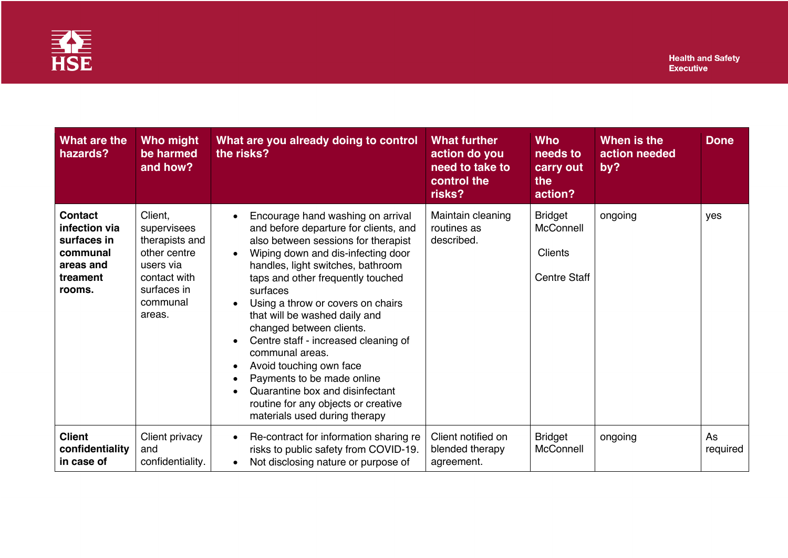

| What are the<br>hazards?                                                                      | Who might<br>be harmed<br>and how?                                                                                         | What are you already doing to control<br>the risks?                                                                                                                                                                                                                                                                                                                                                                                                                                                                                                                                                                                                                       | <b>What further</b><br>action do you<br>need to take to<br>control the<br>risks? | <b>Who</b><br>needs to<br>carry out<br>the<br>action?         | When is the<br>action needed<br>by? | <b>Done</b>    |
|-----------------------------------------------------------------------------------------------|----------------------------------------------------------------------------------------------------------------------------|---------------------------------------------------------------------------------------------------------------------------------------------------------------------------------------------------------------------------------------------------------------------------------------------------------------------------------------------------------------------------------------------------------------------------------------------------------------------------------------------------------------------------------------------------------------------------------------------------------------------------------------------------------------------------|----------------------------------------------------------------------------------|---------------------------------------------------------------|-------------------------------------|----------------|
| <b>Contact</b><br>infection via<br>surfaces in<br>communal<br>areas and<br>treament<br>rooms. | Client,<br>supervisees<br>therapists and<br>other centre<br>users via<br>contact with<br>surfaces in<br>communal<br>areas. | Encourage hand washing on arrival<br>$\bullet$<br>and before departure for clients, and<br>also between sessions for therapist<br>Wiping down and dis-infecting door<br>$\bullet$<br>handles, light switches, bathroom<br>taps and other frequently touched<br>surfaces<br>Using a throw or covers on chairs<br>$\bullet$<br>that will be washed daily and<br>changed between clients.<br>Centre staff - increased cleaning of<br>$\bullet$<br>communal areas.<br>Avoid touching own face<br>$\bullet$<br>Payments to be made online<br>$\bullet$<br>Quarantine box and disinfectant<br>$\bullet$<br>routine for any objects or creative<br>materials used during therapy | Maintain cleaning<br>routines as<br>described.                                   | <b>Bridget</b><br>McConnell<br>Clients<br><b>Centre Staff</b> | ongoing                             | yes            |
| <b>Client</b><br>confidentiality<br>in case of                                                | Client privacy<br>and<br>confidentiality.                                                                                  | Re-contract for information sharing re<br>$\bullet$<br>risks to public safety from COVID-19.<br>Not disclosing nature or purpose of<br>$\bullet$                                                                                                                                                                                                                                                                                                                                                                                                                                                                                                                          | Client notified on<br>blended therapy<br>agreement.                              | <b>Bridget</b><br>McConnell                                   | ongoing                             | As<br>required |